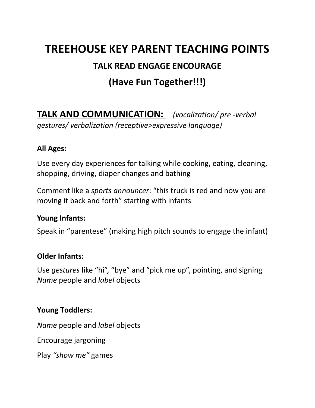# **TREEHOUSE KEY PARENT TEACHING POINTS**

### **TALK READ ENGAGE ENCOURAGE**

# **(Have Fun Together!!!)**

**TALK AND COMMUNICATION:** *(vocalization/ pre -verbal gestures/ verbalization (receptive>expressive language)*

#### **All Ages:**

Use every day experiences for talking while cooking, eating, cleaning, shopping, driving, diaper changes and bathing

Comment like a *sports announcer*: "this truck is red and now you are moving it back and forth" starting with infants

#### **Young Infants:**

Speak in "parentese" (making high pitch sounds to engage the infant)

#### **Older Infants:**

Use *gestures* like "hi", "bye" and "pick me up", pointing, and signing *Name* people and *label* objects

#### **Young Toddlers:**

*Name* people and *label* objects

Encourage jargoning

Play *"show me"* games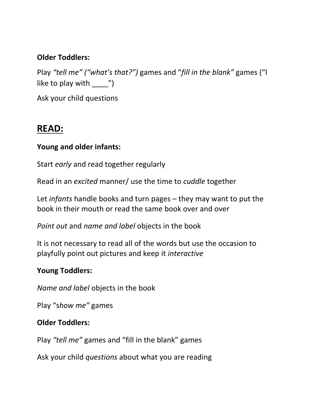#### **Older Toddlers:**

Play *"tell me" ("what's that?")* games and "*fill in the blank"* games ("I like to play with  $\qquad$  ")

Ask your child questions

### **READ:**

#### **Young and older infants:**

Start *early* and read together regularly

Read in an *excited* manner/ use the time to *cuddle* together

Let *infants* handle books and turn pages – they may want to put the book in their mouth or read the same book over and over

*Point out* and *name and label* objects in the book

It is not necessary to read all of the words but use the occasion to playfully point out pictures and keep it *interactive*

#### **Young Toddlers:**

*Name and label* objects in the book

Play "s*how me"* games

#### **Older Toddlers:**

Play *"tell me"* games and "fill in the blank" games

Ask your child *questions* about what you are reading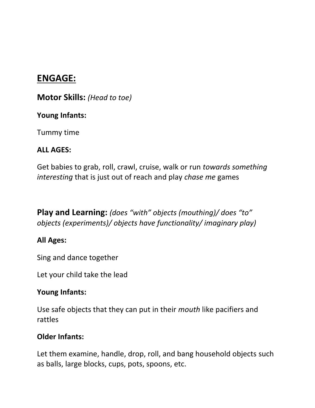## **ENGAGE:**

**Motor Skills:** *(Head to toe)*

#### **Young Infants:**

Tummy time

#### **ALL AGES:**

Get babies to grab, roll, crawl, cruise, walk or run *towards something interesting* that is just out of reach and play *chase me* games

**Play and Learning:** *(does "with" objects (mouthing)/ does "to" objects (experiments)/ objects have functionality/ imaginary play)*

### **All Ages:**

Sing and dance together

Let your child take the lead

### **Young Infants:**

Use safe objects that they can put in their *mouth* like pacifiers and rattles

#### **Older Infants:**

Let them examine, handle, drop, roll, and bang household objects such as balls, large blocks, cups, pots, spoons, etc.